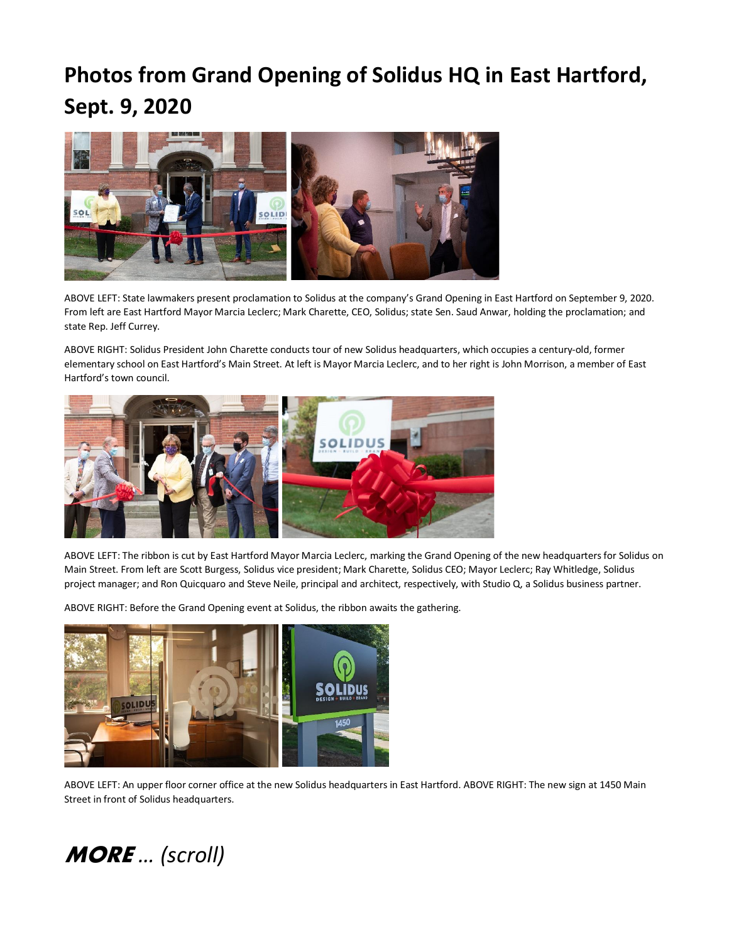## **Photos from Grand Opening of Solidus HQ in East Hartford, Sept. 9, 2020**



ABOVE LEFT: State lawmakers present proclamation to Solidus at the company's Grand Opening in East Hartford on September 9, 2020. From left are East Hartford Mayor Marcia Leclerc; Mark Charette, CEO, Solidus; state Sen. Saud Anwar, holding the proclamation; and state Rep. Jeff Currey.

ABOVE RIGHT: Solidus President John Charette conducts tour of new Solidus headquarters, which occupies a century-old, former elementary school on East Hartford's Main Street. At left is Mayor Marcia Leclerc, and to her right is John Morrison, a member of East Hartford's town council.



ABOVE LEFT: The ribbon is cut by East Hartford Mayor Marcia Leclerc, marking the Grand Opening of the new headquarters for Solidus on Main Street. From left are Scott Burgess, Solidus vice president; Mark Charette, Solidus CEO; Mayor Leclerc; Ray Whitledge, Solidus project manager; and Ron Quicquaro and Steve Neile, principal and architect, respectively, with Studio Q, a Solidus business partner.

ABOVE RIGHT: Before the Grand Opening event at Solidus, the ribbon awaits the gathering.



ABOVE LEFT: An upper floor corner office at the new Solidus headquarters in East Hartford. ABOVE RIGHT: The new sign at 1450 Main Street in front of Solidus headquarters.

## MORE *… (scroll)*